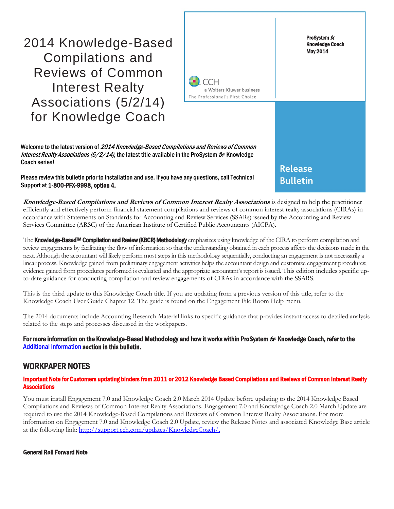2014 Knowledge-Based Compilations and Reviews of Common Interest Realty Associations (5/2/14) for Knowledge Coach

ProSystem fx Knowledge Coach May 2014 **CCH** a Wolters Kluwer business The Professional's First Choice Welcome to the latest version of 2014 Knowledge-Based Compilations and Reviews of Common Interest Realty Associations (5/2/14), the latest title available in the ProSystem  $f_{\text{R}}$  Knowledge **Release Bulletin** 

Please review this bulletin prior to installation and use. If you have any questions, call Technical Support at 1-800-PFX-9998, option 4.

**Knowledge-Based Compilations and Reviews of Common Interest Realty Associations** is designed to help the practitioner efficiently and effectively perform financial statement compilations and reviews of common interest realty associations (CIRAs) in accordance with Statements on Standards for Accounting and Review Services (SSARs) issued by the Accounting and Review Services Committee (ARSC) of the American Institute of Certified Public Accountants (AICPA).

The Knowledge-Based<sup>TM</sup> Compilation and Review (KBCR) Methodology emphasizes using knowledge of the CIRA to perform compilation and review engagements by facilitating the flow of information so that the understanding obtained in each process affects the decisions made in the next. Although the accountant will likely perform most steps in this methodology sequentially, conducting an engagement is not necessarily a linear process. Knowledge gained from preliminary engagement activities helps the accountant design and customize engagement procedures; evidence gained from procedures performed is evaluated and the appropriate accountant's report is issued. This edition includes specific upto-date guidance for conducting compilation and review engagements of CIRAs in accordance with the SSARS.

This is the third update to this Knowledge Coach title. If you are updating from a previous version of this title, refer to the Knowledge Coach User Guide Chapter 12. The guide is found on the Engagement File Room Help menu.

The 2014 documents include Accounting Research Material links to specific guidance that provides instant access to detailed analysis related to the steps and processes discussed in the workpapers.

#### For more information on the Knowledge-Based Methodology and how it works within ProSystem  $f_\text{R}$  Knowledge Coach, refer to the **[Additional Information s](#page-2-0)ection in this bulletin.**

### WORKPAPER NOTES

Coach series!

#### Important Note for Customers updating binders from 2011 or 2012 Knowledge Based Compilations and Reviews of Common Interest Realty **Associations**

You must install Engagement 7.0 and Knowledge Coach 2.0 March 2014 Update before updating to the 2014 Knowledge Based Compilations and Reviews of Common Interest Realty Associations. Engagement 7.0 and Knowledge Coach 2.0 March Update are required to use the 2014 Knowledge-Based Compilations and Reviews of Common Interest Realty Associations. For more information on Engagement 7.0 and Knowledge Coach 2.0 Update, review the Release Notes and associated Knowledge Base article at the following link: [http://support.cch.com/updates/KnowledgeCoach/.](http://support.cch.com/updates/KnowledgeCoach/)

General Roll Forward Note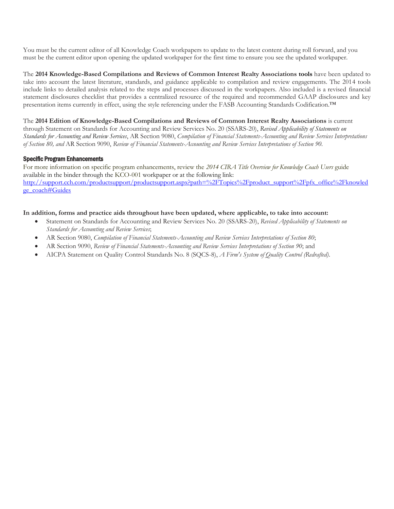You must be the current editor of all Knowledge Coach workpapers to update to the latest content during roll forward, and you must be the current editor upon opening the updated workpaper for the first time to ensure you see the updated workpaper.

The **2014 Knowledge-Based Compilations and Reviews of Common Interest Realty Associations tools** have been updated to take into account the latest literature, standards, and guidance applicable to compilation and review engagements. The 2014 tools include links to detailed analysis related to the steps and processes discussed in the workpapers. Also included is a revised financial statement disclosures checklist that provides a centralized resource of the required and recommended GAAP disclosures and key presentation items currently in effect, using the style referencing under the FASB Accounting Standards Codification.™

The **2014 Edition of Knowledge-Based Compilations and Reviews of Common Interest Realty Associations** is current through Statement on Standards for Accounting and Review Services No. 20 (SSARS-20), *Revised Applicability of Statements on Standards for Accounting and Review Services*, AR Section 9080, *Compilation of Financial Statements-Accounting and Review Services Interpretations of Section 80, and* AR Section 9090, *Review of Financial Statements-Accounting and Review Services Interpretations of Section 90.*

#### Specific Program Enhancements

For more information on specific program enhancements, review the *2014 CIRA Title Overview for Knowledge Coach Users* guide available in the binder through the KCO-001 workpaper or at the following link: http://support.cch.com/productsupport/productsupport.aspx?path=%2FTopics%2Fproduct\_support%2Fpfx\_office%2Fknowled ge\_coach#Guides

#### **In addition, forms and practice aids throughout have been updated, where applicable, to take into account:**

- Statement on Standards for Accounting and Review Services No. 20 (SSARS-20), *Revised Applicability of Statements on Standards for Accounting and Review Services*;
- AR Section 9080, *Compilation of Financial Statements-Accounting and Review Services Interpretations of Section 80*;
- AR Section 9090, *Review of Financial Statements-Accounting and Review Services Interpretations of Section 90*; and
- AICPA Statement on Quality Control Standards No. 8 (SQCS-8), *A Firm's System of Quality Control (Redrafted)*.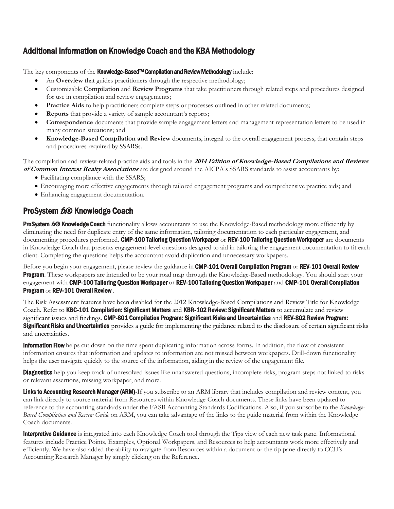# <span id="page-2-0"></span>Additional Information on Knowledge Coach and the KBA Methodology

The key components of the **Knowledge-Based<sup>TM</sup> Compilation and Review Methodology** include:

- An **Overview** that guides practitioners through the respective methodology;
- Customizable **Compilation** and **Review Programs** that take practitioners through related steps and procedures designed for use in compilation and review engagements;
- **Practice Aids** to help practitioners complete steps or processes outlined in other related documents;
- **Reports** that provide a variety of sample accountant's reports;
- **Correspondence** documents that provide sample engagement letters and management representation letters to be used in many common situations; and
- **Knowledge-Based Compilation and Review** documents, integral to the overall engagement process, that contain steps and procedures required by SSARSs.

The compilation and review-related practice aids and tools in the **2014 Edition of Knowledge-Based Compilations and Reviews of Common Interest Realty Associations** are designed around the AICPA's SSARS standards to assist accountants by:

- Facilitating compliance with the SSARS;
- Encouraging more effective engagements through tailored engagement programs and comprehensive practice aids; and
- Enhancing engagement documentation.

## ProSystem  $f_x \otimes$  Knowledge Coach

**ProSystem the Knowledge Coach** functionality allows accountants to use the Knowledge-Based methodology more efficiently by eliminating the need for duplicate entry of the same information, tailoring documentation to each particular engagement, and documenting procedures performed. CMP-100 Tailoring Question Workpaper or REV-100 Tailoring Question Workpaper are documents in Knowledge Coach that presents engagement-level questions designed to aid in tailoring the engagement documentation to fit each client. Completing the questions helps the accountant avoid duplication and unnecessary workpapers.

Before you begin your engagement, please review the guidance in CMP-101 Overall Compilation Program or REV-101 Overall Review **Program**. These workpapers are intended to be your road map through the Knowledge-Based methodology. You should start your engagement with CMP-100 Tailoring Question Workpaper or REV-100 Tailoring Question Workpaper and CMP-101 Overall Compilation Program or REV-101 Overall Review .

The Risk Assessment features have been disabled for the 2012 Knowledge-Based Compilations and Review Title for Knowledge Coach. Refer to KBC-101 Compilation: Significant Matters and KBR-102 Review: Significant Matters to accumulate and review significant issues and findings. CMP-801 Compilation Program: Significant Risks and Uncertainties and REV-802 Review Program: **Significant Risks and Uncertainties** provides a guide for implementing the guidance related to the disclosure of certain significant risks and uncertainties.

Information Flow helps cut down on the time spent duplicating information across forms. In addition, the flow of consistent information ensures that information and updates to information are not missed between workpapers. Drill-down functionality helps the user navigate quickly to the source of the information, aiding in the review of the engagement file.

**Diagnostics** help you keep track of unresolved issues like unanswered questions, incomplete risks, program steps not linked to risks or relevant assertions, missing workpaper, and more.

Links to Accounting Research Manager (ARM)-If you subscribe to an ARM library that includes compilation and review content, you can link directly to source material from Resources within Knowledge Coach documents. These links have been updated to reference to the accounting standards under the FASB Accounting Standards Codifications. Also, if you subscribe to the *Knowledge-Based Compilation and Review Guide* on ARM, you can take advantage of the links to the guide material from within the Knowledge Coach documents.

Interpretive Guidance is integrated into each Knowledge Coach tool through the Tips view of each new task pane. Informational features include Practice Points, Examples, Optional Workpapers, and Resources to help accountants work more effectively and efficiently. We have also added the ability to navigate from Resources within a document or the tip pane directly to CCH's Accounting Research Manager by simply clicking on the Reference.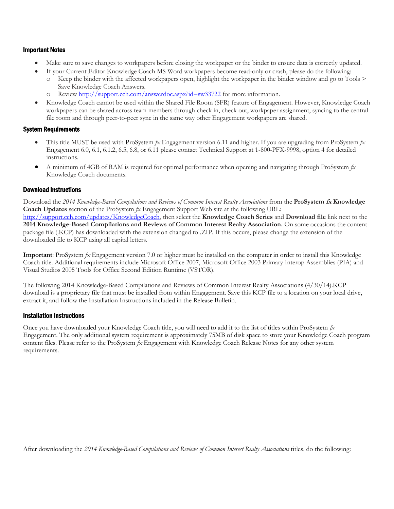#### Important Notes

- Make sure to save changes to workpapers before closing the workpaper or the binder to ensure data is correctly updated.
- If your Current Editor Knowledge Coach MS Word workpapers become read-only or crash, please do the following: Keep the binder with the affected workpapers open, highlight the workpaper in the binder window and go to Tools  $\geq$ 
	- Save Knowledge Coach Answers.
	- Review<http://support.cch.com/answerdoc.aspx?id=sw33722> for more information.
- Knowledge Coach cannot be used within the Shared File Room (SFR) feature of Engagement. However, Knowledge Coach workpapers can be shared across team members through check in, check out, workpaper assignment, syncing to the central file room and through peer-to-peer sync in the same way other Engagement workpapers are shared.

#### System Requirements

- This title MUST be used with ProSystem *fx* Engagement version 6.11 and higher. If you are upgrading from ProSystem *fx*  Engagement 6.0, 6.1, 6.1.2, 6.5, 6.8, or 6.11 please contact Technical Support at 1-800-PFX-9998, option 4 for detailed instructions.
- A minimum of 4GB of RAM is required for optimal performance when opening and navigating through ProSystem *fx*  Knowledge Coach documents.

#### Download Instructions

Download the *2014 Knowledge-Based Compilations and Reviews of Common Interest Realty Associations* from the **ProSystem fx Knowledge Coach Updates** section of the ProSystem *fx* Engagement Support Web site at the following URL: [http://support.cch.com/updates/KnowledgeCoach,](http://support.cch.com/updates/KnowledgeCoach) then select the **Knowledge Coach Series** and **Download file** link next to the **2014 Knowledge-Based Compilations and Reviews of Common Interest Realty Association.** On some occasions the content package file (.KCP) has downloaded with the extension changed to .ZIP. If this occurs, please change the extension of the downloaded file to KCP using all capital letters.

**Important**: ProSystem *fx* Engagement version 7.0 or higher must be installed on the computer in order to install this Knowledge Coach title. Additional requirements include Microsoft Office 2007, Microsoft Office 2003 Primary Interop Assemblies (PIA) and Visual Studios 2005 Tools for Office Second Edition Runtime (VSTOR).

The following 2014 Knowledge-Based Compilations and Reviews of Common Interest Realty Associations (4/30/14).KCP download is a proprietary file that must be installed from within Engagement. Save this KCP file to a location on your local drive, extract it, and follow the Installation Instructions included in the Release Bulletin.

#### Installation Instructions

Once you have downloaded your Knowledge Coach title, you will need to add it to the list of titles within ProSystem *fx*  Engagement. The only additional system requirement is approximately 75MB of disk space to store your Knowledge Coach program content files. Please refer to the ProSystem *fx* Engagement with Knowledge Coach Release Notes for any other system requirements.

After downloading the *2014 Knowledge-Based Compilations and Reviews of Common Interest Realty Associations* titles, do the following: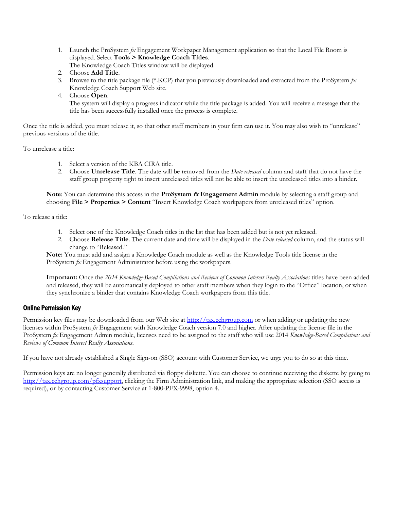1. Launch the ProSystem *fx* Engagement Workpaper Management application so that the Local File Room is displayed. Select **Tools > Knowledge Coach Titles**.

The Knowledge Coach Titles window will be displayed.

- 2. Choose **Add Title**.
- 3. Browse to the title package file (\*.KCP) that you previously downloaded and extracted from the ProSystem *fx*  Knowledge Coach Support Web site.
- 4. Choose **Open**.

The system will display a progress indicator while the title package is added. You will receive a message that the title has been successfully installed once the process is complete.

Once the title is added, you must release it, so that other staff members in your firm can use it. You may also wish to "unrelease" previous versions of the title.

To unrelease a title:

- 1. Select a version of the KBA CIRA title.
- 2. Choose **Unrelease Title**. The date will be removed from the *Date released* column and staff that do not have the staff group property right to insert unreleased titles will not be able to insert the unreleased titles into a binder.

**Note**: You can determine this access in the **ProSystem fx Engagement Admin** module by selecting a staff group and choosing **File > Properties > Content** "Insert Knowledge Coach workpapers from unreleased titles" option.

To release a title:

- 1. Select one of the Knowledge Coach titles in the list that has been added but is not yet released.
- 2. Choose **Release Title**. The current date and time will be displayed in the *Date released* column, and the status will change to "Released."

**Note:** You must add and assign a Knowledge Coach module as well as the Knowledge Tools title license in the ProSystem *fx* Engagement Administrator before using the workpapers.

**Important:** Once the *2014 Knowledge-Based Compilations and Reviews of Common Interest Realty Associations* titles have been added and released, they will be automatically deployed to other staff members when they login to the "Office" location, or when they synchronize a binder that contains Knowledge Coach workpapers from this title.

#### Online Permission Key

Permission key files may be downloaded from our Web site a[t http://tax.cchgroup.com](http://tax.cchgroup.com/) or when adding or updating the new licenses within ProSystem *fx* Engagement with Knowledge Coach version 7.0 and higher. After updating the license file in the ProSystem *fx* Engagement Admin module, licenses need to be assigned to the staff who will use 2014 *Knowledge-Based Compilations and Reviews of Common Interest Realty Associations*.

If you have not already established a Single Sign-on (SSO) account with Customer Service, we urge you to do so at this time.

Permission keys are no longer generally distributed via floppy diskette. You can choose to continue receiving the diskette by going to [http://tax.cchgroup.com/pfxsupport,](http://tax.cchgroup.com/pfxsupport) clicking the Firm Administration link, and making the appropriate selection (SSO access is required), or by contacting Customer Service at 1-800-PFX-9998, option 4.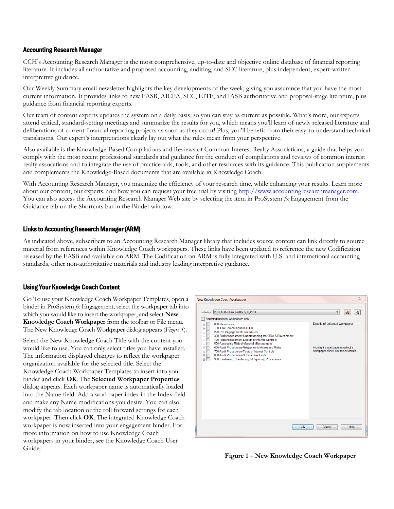#### Accounting Research Manager

CCH's Accounting Research Manager is the most comprehensive, up-to-date and objective online database of financial reporting literature. It includes all authoritative and proposed accounting, auditing, and SEC literature, plus independent, expert-written interpretive guidance.

Our Weekly Summary email newsletter highlights the key developments of the week, giving you assurance that you have the most current information. It provides links to new FASB, AICPA, SEC, EITF, and IASB authoritative and proposal-stage literature, plus guidance from financial reporting experts.

Our team of content experts updates the system on a daily basis, so you can stay as current as possible. What's more, our experts attend critical, standard-setting meetings and summarize the results for you, which means you'll learn of newly released literature and deliberations of current financial reporting projects as soon as they occur! Plus, you'll benefit from their easy-to-understand technical translations. Our expert's interpretations clearly lay out what the rules mean from your perspective.

Also available is the Knowledge-Based Compilations and Reviews of Common Interest Realty Associations, a guide that helps you comply with the most recent professional standards and guidance for the conduct of compilations and reviews of common interest realty assocations and to integrate the use of practice aids, tools, and other resources with its guidance. This publication supplements and complements the Knowledge-Based documents that are available in Knowledge Coach.

With Accounting Research Manager, you maximize the efficiency of your research time, while enhancing your results. Learn more about our content, our experts, and how you can request your free trial by visiting http://www.accountingresearchmanager.com. You can also access the Accounting Research Manager Web site by selecting the item in ProSystem *fx* Engagement from the Guidance tab on the Shortcuts bar in the Binder window.

#### Links to Accounting Research Manager (ARM)

As indicated above, subscribers to an Accounting Research Manager library that includes source content can link directly to source material from references within Knowledge Coach workpapers. These links have been updated to reference the new Codification released by the FASB and available on ARM. The Codification on ARM is fully integrated with U.S. and international accounting standards, other non-authoritative materials and industry leading interpretive guidance.

#### Using Your Knowledge Coach Content

Go To use your Knowledge Coach Workpaper Templates, open a binder in ProSystem *fx* Engagement, select the workpaper tab into which you would like to insert the workpaper, and select **New Knowledge Coach Workpaper** from the toolbar or File menu. The New Knowledge Coach Workpaper dialog appears (*Figure 1*).

Select the New Knowledge Coach Title with the content you would like to use. You can only select titles you have installed. The information displayed changes to reflect the workpaper organization available for the selected title. Select the Knowledge Coach Workpaper Templates to insert into your binder and click **OK**. The **Selected Workpaper Properties** dialog appears. Each workpaper name is automatically loaded into the Name field. Add a workpaper index in the Index field and make any Name modifications you desire. You can also modify the tab location or the roll forward settings for each workpaper. Then click **OK**. The integrated Knowledge Coach workpaper is now inserted into your engagement binder. For more information on how to use Knowledge Coach workpapers in your binder, see the Knowledge Coach User Guide.



**Figure 1 – New Knowledge Coach Workpaper**